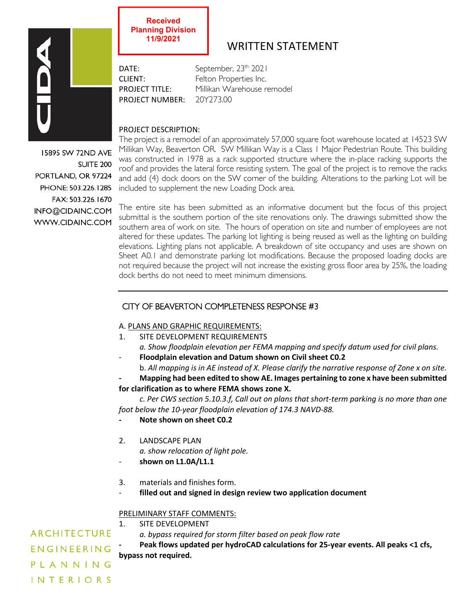

**11/9/2021**

**Received Planning Division**

# WRITTEN STATEMENT

DATE: September, 23<sup>th</sup> 2021 CLIENT: Felton Properties Inc. PROJECT TITLE: Millikan Warehouse remodel PROJECT NUMBER: 20Y273.00

## PROJECT DESCRIPTION:

15895 SW 72ND AVE **SUITE 200** PORTLAND, OR 97224 PHONE: 503.226.1285 FAX: 503.226.1670 INFO@CIDAINC.COM WWW.CIDAINC.COM

The project is a remodel of an approximately 57,000 square foot warehouse located at 14523 SW Millikan Way, Beaverton OR. SW Millikan Way is a Class 1 Major Pedestrian Route. This building was constructed in 1978 as a rack supported structure where the in-place racking supports the roof and provides the lateral force resisting system. The goal of the project is to remove the racks and add (4) dock doors on the SW corner of the building. Alterations to the parking Lot will be included to supplement the new Loading Dock area.

The entire site has been submitted as an informative document but the focus of this project submittal is the southern portion of the site renovations only. The drawings submitted show the southern area of work on site. The hours of operation on site and number of employees are not altered for these updates. The parking lot lighting is being reused as well as the lighting on building elevations. Lighting plans not applicable. A breakdown of site occupancy and uses are shown on Sheet A0.1 and demonstrate parking lot modifications. Because the proposed loading docks are not required because the project will not increase the existing gross floor area by 25%, the loading dock berths do not need to meet minimum dimensions.

## CITY OF BEAVERTON COMPLETENESS RESPONSE #3

## A. PLANS AND GRAPHIC REQUIREMENTS:

1. SITE DEVELOPMENT REQUIREMENTS

*a. Show floodplain elevation per FEMA mapping and specify datum used for civil plans.* - **Floodplain elevation and Datum shown on Civil sheet C0.2** 

b. *All mapping is in AE instead of X. Please clarify the narrative response of Zone x on site.*

**- Mapping had been edited to show AE. Images pertaining to zone x have been submitted** 

**for clarification as to where FEMA shows zone X.**

*c. Per CWS section 5.10.3.f, Call out on plans that short-term parking is no more than one foot below the 10-year floodplain elevation of 174.3 NAVD-88.*

- **- Note shown on sheet C0.2**
- 2. LANDSCAPE PLAN
	- *a. show relocation of light pole.*
- *-* **shown on L1.0A/L1.1**
- 3. materials and finishes form.
- **filled out and signed in design review two application document**

## PRELIMINARY STAFF COMMENTS:

## 1. SITE DEVELOPMENT

*a. bypass required for storm filter based on peak flow rate*

**- Peak flows updated per hydroCAD calculations for 25-year events. All peaks <1 cfs, bypass not required.**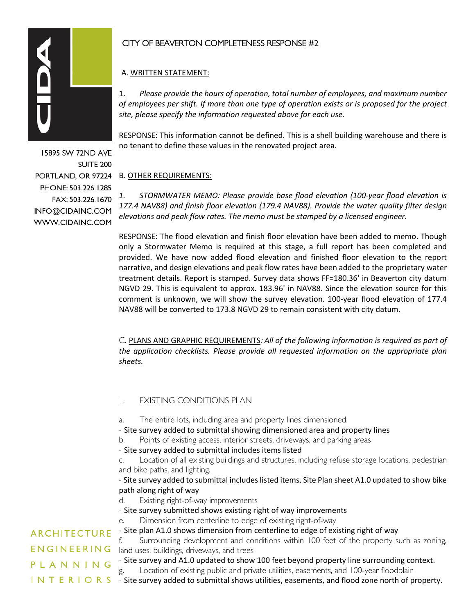

15895 SW 72ND AVE SUITE<sub>200</sub> PORTLAND, OR 97224 PHONE: 503.226.1285 FAX: 503.226.1670 INFO@CIDAINC.COM WWW.CIDAINC.COM

## CITY OF BEAVERTON COMPLETENESS RESPONSE #2

## A. WRITTEN STATEMENT:

1. *Please provide the hours of operation, total number of employees, and maximum number of employees per shift. If more than one type of operation exists or is proposed for the project site, please specify the information requested above for each use.*

RESPONSE: This information cannot be defined. This is a shell building warehouse and there is no tenant to define these values in the renovated project area.

## B. OTHER REQUIREMENTS:

*1. STORMWATER MEMO: Please provide base flood elevation (100-year flood elevation is 177.4 NAV88) and finish floor elevation (179.4 NAV88). Provide the water quality filter design elevations and peak flow rates. The memo must be stamped by a licensed engineer.*

RESPONSE: The flood elevation and finish floor elevation have been added to memo. Though only a Stormwater Memo is required at this stage, a full report has been completed and provided. We have now added flood elevation and finished floor elevation to the report narrative, and design elevations and peak flow rates have been added to the proprietary water treatment details. Report is stamped. Survey data shows FF=180.36' in Beaverton city datum NGVD 29. This is equivalent to approx. 183.96' in NAV88. Since the elevation source for this comment is unknown, we will show the survey elevation. 100-year flood elevation of 177.4 NAV88 will be converted to 173.8 NGVD 29 to remain consistent with city datum.

C. PLANS AND GRAPHIC REQUIREMENTS: *All of the following information is required as part of the application checklists. Please provide all requested information on the appropriate plan sheets.*

## 1. EXISTING CONDITIONS PLAN

a. The entire lots, including area and property lines dimensioned.

- Site survey added to submittal showing dimensioned area and property lines
- b. Points of existing access, interior streets, driveways, and parking areas
- Site survey added to submittal includes items listed
- c. Location of all existing buildings and structures, including refuse storage locations, pedestrian and bike paths, and lighting.

- Site survey added to submittal includes listed items. Site Plan sheet A1.0 updated to show bike path along right of way

- d. Existing right-of-way improvements
- Site survey submitted shows existing right of way improvements

e. Dimension from centerline to edge of existing right-of-way

- Site plan A1.0 shows dimension from centerline to edge of existing right of way

Surrounding development and conditions within 100 feet of the property such as zoning, land uses, buildings, driveways, and trees

- Site survey and A1.0 updated to show 100 feet beyond property line surrounding context. g. Location of existing public and private utilities, easements, and 100-year floodplain
- INTERIORS Site survey added to submittal shows utilities, easements, and flood zone north of property.

**ARCHITECTURE** ENGINEERING PLANNING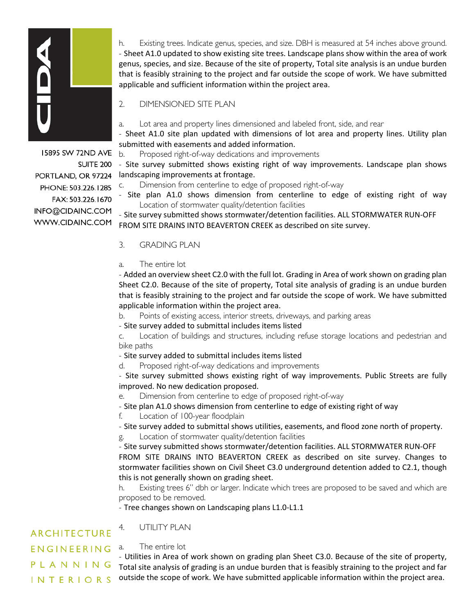

h. Existing trees. Indicate genus, species, and size. DBH is measured at 54 inches above ground. - Sheet A1.0 updated to show existing site trees. Landscape plans show within the area of work genus, species, and size. Because of the site of property, Total site analysis is an undue burden that is feasibly straining to the project and far outside the scope of work. We have submitted applicable and sufficient information within the project area.

2. DIMENSIONED SITE PLAN

a. Lot area and property lines dimensioned and labeled front, side, and rear

- Sheet A1.0 site plan updated with dimensions of lot area and property lines. Utility plan submitted with easements and added information.

b. Proposed right-of-way dedications and improvements

- Site survey submitted shows existing right of way improvements. Landscape plan shows landscaping improvements at frontage.

c. Dimension from centerline to edge of proposed right-of-way

- Site plan A1.0 shows dimension from centerline to edge of existing right of way Location of stormwater quality/detention facilities

- Site survey submitted shows stormwater/detention facilities. ALL STORMWATER RUN-OFF FROM SITE DRAINS INTO BEAVERTON CREEK as described on site survey.

## 3. GRADING PLAN

#### a. The entire lot

- Added an overview sheet C2.0 with the full lot. Grading in Area of work shown on grading plan Sheet C2.0. Because of the site of property, Total site analysis of grading is an undue burden that is feasibly straining to the project and far outside the scope of work. We have submitted applicable information within the project area.

b. Points of existing access, interior streets, driveways, and parking areas

- Site survey added to submittal includes items listed

c. Location of buildings and structures, including refuse storage locations and pedestrian and bike paths

- Site survey added to submittal includes items listed

d. Proposed right-of-way dedications and improvements

- Site survey submitted shows existing right of way improvements. Public Streets are fully improved. No new dedication proposed.

e. Dimension from centerline to edge of proposed right-of-way

- Site plan A1.0 shows dimension from centerline to edge of existing right of way

f. Location of 100-year floodplain

- Site survey added to submittal shows utilities, easements, and flood zone north of property. g. Location of stormwater quality/detention facilities

- Site survey submitted shows stormwater/detention facilities. ALL STORMWATER RUN-OFF FROM SITE DRAINS INTO BEAVERTON CREEK as described on site survey. Changes to stormwater facilities shown on Civil Sheet C3.0 underground detention added to C2.1, though this is not generally shown on grading sheet.

h. Existing trees 6" dbh or larger. Indicate which trees are proposed to be saved and which are proposed to be removed.

- Tree changes shown on Landscaping plans L1.0-L1.1

#### 4. UTILITY PLAN **ARCHITECTURE**

ENGINEERING PLANNING **INTERIORS** 

#### a. The entire lot

- Utilities in Area of work shown on grading plan Sheet C3.0. Because of the site of property, Total site analysis of grading is an undue burden that is feasibly straining to the project and far outside the scope of work. We have submitted applicable information within the project area.

15895 SW 72ND AVE SUITE 200 PORTLAND, OR 97224 PHONE: 503.226.1285 FAX: 503.226.1670 INFO@CIDAINC.COM WWW.CIDAINC.COM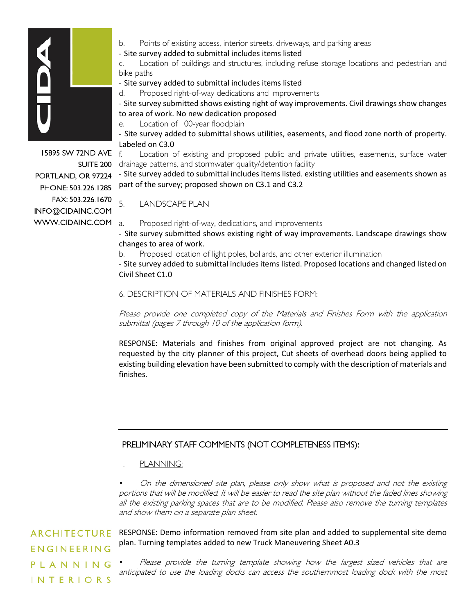

15895 SW 72ND AVE SUITE 200 PORTLAND, OR 97224 PHONE: 503.226.1285 FAX: 503.226.1670 INFO@CIDAINC.COM WWW.CIDAINC.COM

- b. Points of existing access, interior streets, driveways, and parking areas
- Site survey added to submittal includes items listed

c. Location of buildings and structures, including refuse storage locations and pedestrian and bike paths

- Site survey added to submittal includes items listed

d. Proposed right-of-way dedications and improvements

- Site survey submitted shows existing right of way improvements. Civil drawings show changes to area of work. No new dedication proposed

e. Location of 100-year floodplain

- Site survey added to submittal shows utilities, easements, and flood zone north of property. Labeled on C3.0

f. Location of existing and proposed public and private utilities, easements, surface water drainage patterns, and stormwater quality/detention facility

- Site survey added to submittal includes items listed. existing utilities and easements shown as part of the survey; proposed shown on C3.1 and C3.2

5. LANDSCAPE PLAN

a. Proposed right-of-way, dedications, and improvements

- Site survey submitted shows existing right of way improvements. Landscape drawings show changes to area of work.

b. Proposed location of light poles, bollards, and other exterior illumination

- Site survey added to submittal includes items listed. Proposed locations and changed listed on Civil Sheet C1.0

6. DESCRIPTION OF MATERIALS AND FINISHES FORM:

Please provide one completed copy of the Materials and Finishes Form with the application submittal (pages 7 through 10 of the application form).

RESPONSE: Materials and finishes from original approved project are not changing. As requested by the city planner of this project, Cut sheets of overhead doors being applied to existing building elevation have been submitted to comply with the description of materials and finishes.

## PRELIMINARY STAFF COMMENTS (NOT COMPLETENESS ITEMS):

1. PLANNING:

• On the dimensioned site plan, please only show what is proposed and not the existing portions that will be modified. It will be easier to read the site plan without the faded lines showing all the existing parking spaces that are to be modified. Please also remove the turning templates and show them on a separate plan sheet.

**ARCHITECTURE** ENGINEERING PLANNING **INTERIORS** 

RESPONSE: Demo information removed from site plan and added to supplemental site demo plan. Turning templates added to new Truck Maneuvering Sheet A0.3

Please provide the turning template showing how the largest sized vehicles that are anticipated to use the loading docks can access the southernmost loading dock with the most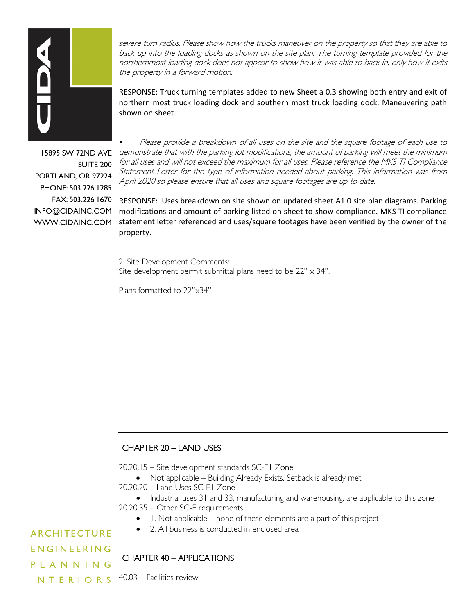

severe turn radius. Please show how the trucks maneuver on the property so that they are able to back up into the loading docks as shown on the site plan. The turning template provided for the northernmost loading dock does not appear to show how it was able to back in, only how it exits the property in a forward motion.

RESPONSE: Truck turning templates added to new Sheet a 0.3 showing both entry and exit of northern most truck loading dock and southern most truck loading dock. Maneuvering path shown on sheet.

15895 SW 72ND AVE **SUITE 200** PORTLAND, OR 97224 PHONE: 503.226.1285 FAX: 503.226.1670 INFO@CIDAINC.COM WWW.CIDAINC.COM

• Please provide a breakdown of all uses on the site and the square footage of each use to demonstrate that with the parking lot modifications, the amount of parking will meet the minimum for all uses and will not exceed the maximum for all uses. Please reference the MKS TI Compliance Statement Letter for the type of information needed about parking. This information was from April 2020 so please ensure that all uses and square footages are up to date.

RESPONSE: Uses breakdown on site shown on updated sheet A1.0 site plan diagrams. Parking modifications and amount of parking listed on sheet to show compliance. MKS TI compliance statement letter referenced and uses/square footages have been verified by the owner of the property.

2. Site Development Comments: Site development permit submittal plans need to be  $22'' \times 34''$ .

Plans formatted to 22"x34"

## CHAPTER 20 – LAND USES

20.20.15 – Site development standards SC-E1 Zone

• Not applicable – Building Already Exists. Setback is already met. 20.20.20 – Land Uses SC-E1 Zone

• Industrial uses 31 and 33, manufacturing and warehousing, are applicable to this zone 20.20.35 – Other SC-E requirements

- 1. Not applicable none of these elements are a part of this project
- 2. All business is conducted in enclosed area

**ARCHITECTURE ENGINEERING** PLANNING **INTERIORS** 

## CHAPTER 40 – APPLICATIONS

40.03 – Facilities review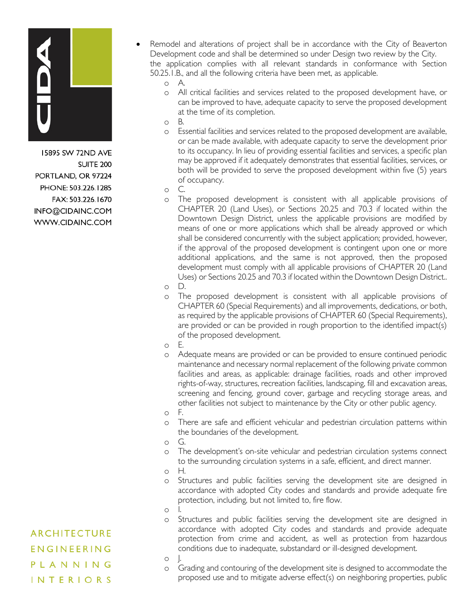

15895 SW 72ND AVE **SUITE 200** PORTLAND, OR 97224 PHONE: 503.226.1285 FAX: 503.226.1670 INFO@CIDAINC.COM WWW.CIDAINC.COM

• Remodel and alterations of project shall be in accordance with the City of Beaverton Development code and shall be determined so under Design two review by the City. the application complies with all relevant standards in conformance with Section 50.25.1.B., and all the following criteria have been met, as applicable.

o A.

- o All critical facilities and services related to the proposed development have, or can be improved to have, adequate capacity to serve the proposed development at the time of its completion.
- o B.
- o Essential facilities and services related to the proposed development are available, or can be made available, with adequate capacity to serve the development prior to its occupancy. In lieu of providing essential facilities and services, a specific plan may be approved if it adequately demonstrates that essential facilities, services, or both will be provided to serve the proposed development within five (5) years of occupancy.

o C.

o The proposed development is consistent with all applicable provisions of CHAPTER 20 (Land Uses), or Sections 20.25 and 70.3 if located within the Downtown Design District, unless the applicable provisions are modified by means of one or more applications which shall be already approved or which shall be considered concurrently with the subject application; provided, however, if the approval of the proposed development is contingent upon one or more additional applications, and the same is not approved, then the proposed development must comply with all applicable provisions of CHAPTER 20 (Land Uses) or Sections 20.25 and 70.3 if located within the Downtown Design District..

o D.

o The proposed development is consistent with all applicable provisions of CHAPTER 60 (Special Requirements) and all improvements, dedications, or both, as required by the applicable provisions of CHAPTER 60 (Special Requirements), are provided or can be provided in rough proportion to the identified impact(s) of the proposed development.

o E.

- o Adequate means are provided or can be provided to ensure continued periodic maintenance and necessary normal replacement of the following private common facilities and areas, as applicable: drainage facilities, roads and other improved rights-of-way, structures, recreation facilities, landscaping, fill and excavation areas, screening and fencing, ground cover, garbage and recycling storage areas, and other facilities not subject to maintenance by the City or other public agency.
- o F.
- o There are safe and efficient vehicular and pedestrian circulation patterns within the boundaries of the development.
- o G.
- o The development's on-site vehicular and pedestrian circulation systems connect to the surrounding circulation systems in a safe, efficient, and direct manner.
- o H.
- o Structures and public facilities serving the development site are designed in accordance with adopted City codes and standards and provide adequate fire protection, including, but not limited to, fire flow.
- o I.
- o Structures and public facilities serving the development site are designed in accordance with adopted City codes and standards and provide adequate protection from crime and accident, as well as protection from hazardous conditions due to inadequate, substandard or ill-designed development.
- o J.
- o Grading and contouring of the development site is designed to accommodate the proposed use and to mitigate adverse effect(s) on neighboring properties, public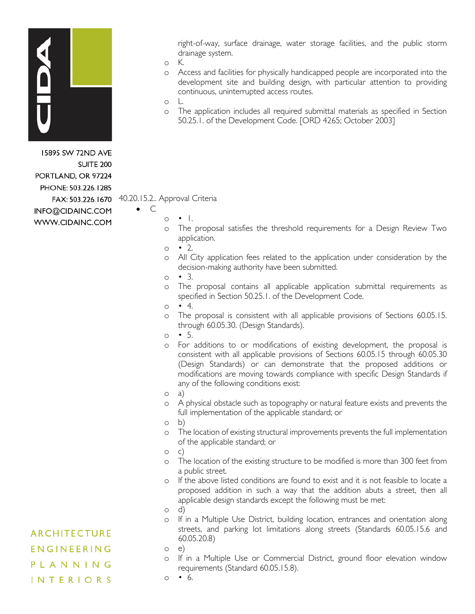

15895 SW 72ND AVE **SUITE 200** PORTLAND, OR 97224 PHONE: 503.226.1285 INFO@CIDAINC.COM WWW.CIDAINC.COM right-of-way, surface drainage, water storage facilities, and the public storm drainage system.

- o K.
- o Access and facilities for physically handicapped people are incorporated into the development site and building design, with particular attention to providing continuous, uninterrupted access routes.
- o L.
- o The application includes all required submittal materials as specified in Section 50.25.1. of the Development Code. [ORD 4265; October 2003]

### FAX: 503.226.1670 40.20.15.2.. Approval Criteria

• C

- $\circ$   $\bullet$  1.
- o The proposal satisfies the threshold requirements for a Design Review Two application.
- $\circ$   $\bullet$  2.
- o All City application fees related to the application under consideration by the decision-making authority have been submitted.
- $\circ$   $\bullet$  3.
- o The proposal contains all applicable application submittal requirements as specified in Section 50.25.1. of the Development Code.
- $\circ$   $\bullet$  4.
- o The proposal is consistent with all applicable provisions of Sections 60.05.15. through 60.05.30. (Design Standards).
- $\circ$  5.
- o For additions to or modifications of existing development, the proposal is consistent with all applicable provisions of Sections 60.05.15 through 60.05.30 (Design Standards) or can demonstrate that the proposed additions or modifications are moving towards compliance with specific Design Standards if any of the following conditions exist:
- o a)
- o A physical obstacle such as topography or natural feature exists and prevents the full implementation of the applicable standard; or
- o b)
- o The location of existing structural improvements prevents the full implementation of the applicable standard; or
- $\circ$
- o The location of the existing structure to be modified is more than 300 feet from a public street.
- o If the above listed conditions are found to exist and it is not feasible to locate a proposed addition in such a way that the addition abuts a street, then all applicable design standards except the following must be met:
- o d)
- o If in a Multiple Use District, building location, entrances and orientation along streets, and parking lot limitations along streets (Standards 60.05.15.6 and 60.05.20.8)

o e)

- o If in a Multiple Use or Commercial District, ground floor elevation window requirements (Standard 60.05.15.8).
- $\circ$   $\bullet$  6.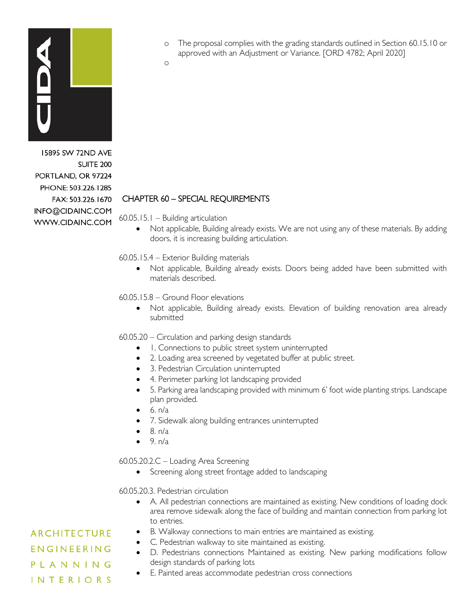

15895 SW 72ND AVE SUITE<sub>200</sub> PORTLAND, OR 97224 PHONE: 503.226.1285 FAX: 503.226.1670 INFO@CIDAINC.COM WWW.CIDAINC.COM

o The proposal complies with the grading standards outlined in Section 60.15.10 or approved with an Adjustment or Variance. [ORD 4782; April 2020]

o

## CHAPTER 60 – SPECIAL REQUIREMENTS

60.05.15.1 – Building articulation

• Not applicable, Building already exists. We are not using any of these materials. By adding doors, it is increasing building articulation.

60.05.15.4 – Exterior Building materials

• Not applicable, Building already exists. Doors being added have been submitted with materials described.

60.05.15.8 – Ground Floor elevations

• Not applicable, Building already exists. Elevation of building renovation area already submitted

60.05.20 – Circulation and parking design standards

- 1. Connections to public street system uninterrupted
- 2. Loading area screened by vegetated buffer at public street.
- 3. Pedestrian Circulation uninterrupted
- 4. Perimeter parking lot landscaping provided
- 5. Parking area landscaping provided with minimum 6' foot wide planting strips. Landscape plan provided.
- $6. n/a$
- 7. Sidewalk along building entrances uninterrupted
- $\bullet$  8. n/a
- $\bullet$  9.  $n/a$

60.05.20.2.C – Loading Area Screening

• Screening along street frontage added to landscaping

60.05.20.3. Pedestrian circulation

- A. All pedestrian connections are maintained as existing. New conditions of loading dock area remove sidewalk along the face of building and maintain connection from parking lot to entries.
- B. Walkway connections to main entries are maintained as existing.
	- C. Pedestrian walkway to site maintained as existing.
- D. Pedestrians connections Maintained as existing. New parking modifications follow design standards of parking lots
- E. Painted areas accommodate pedestrian cross connections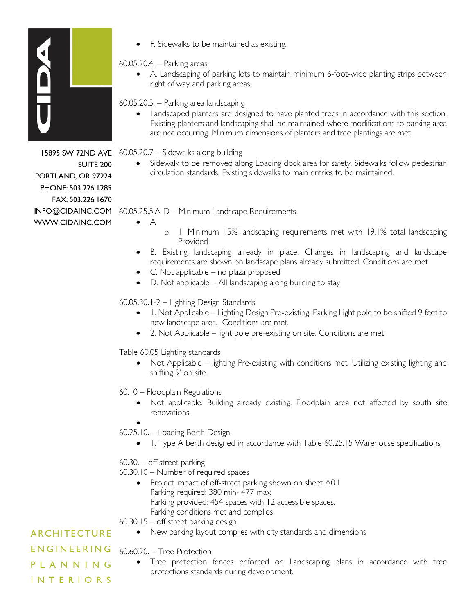

PORTLAND, OR 97224 PHONE: 503.226.1285 FAX: 503.226.1670

WWW.CIDAINC.COM

**SUITE 200** 

• F. Sidewalks to be maintained as existing.

## 60.05.20.4. – Parking areas

• A. Landscaping of parking lots to maintain minimum 6-foot-wide planting strips between right of way and parking areas.

60.05.20.5. – Parking area landscaping

• Landscaped planters are designed to have planted trees in accordance with this section. Existing planters and landscaping shall be maintained where modifications to parking area are not occurring. Minimum dimensions of planters and tree plantings are met.

15895 SW 72ND AVE 60.05.20.7 - Sidewalks along building

• Sidewalk to be removed along Loading dock area for safety. Sidewalks follow pedestrian circulation standards. Existing sidewalks to main entries to be maintained.

INFO@CIDAINC.COM 60.05.25.5.A-D – Minimum Landscape Requirements

 $\bullet$   $\quad$  A

- o 1. Minimum 15% landscaping requirements met with 19.1% total landscaping Provided
- B. Existing landscaping already in place. Changes in landscaping and landscape requirements are shown on landscape plans already submitted. Conditions are met.
- C. Not applicable no plaza proposed
- D. Not applicable All landscaping along building to stay

60.05.30.1-2 – Lighting Design Standards

- 1. Not Applicable Lighting Design Pre-existing. Parking Light pole to be shifted 9 feet to new landscape area. Conditions are met.
- 2. Not Applicable light pole pre-existing on site. Conditions are met.

Table 60.05 Lighting standards

• Not Applicable – lighting Pre-existing with conditions met. Utilizing existing lighting and shifting 9' on site.

60.10 – Floodplain Regulations

• Not applicable. Building already existing. Floodplain area not affected by south site renovations.

• 60.25.10. – Loading Berth Design

• 1. Type A berth designed in accordance with Table 60.25.15 Warehouse specifications.

60.30. – off street parking

60.30.10 – Number of required spaces

• Project impact of off-street parking shown on sheet A0.1 Parking required: 380 min- 477 max Parking provided: 454 spaces with 12 accessible spaces. Parking conditions met and complies

60.30.15 – off street parking design

• New parking layout complies with city standards and dimensions

ENGINEERING 60.60.20. – Tree Protection

• Tree protection fences enforced on Landscaping plans in accordance with tree protections standards during development.

**INTERIORS** 

PLANNING

**ARCHITECTURE**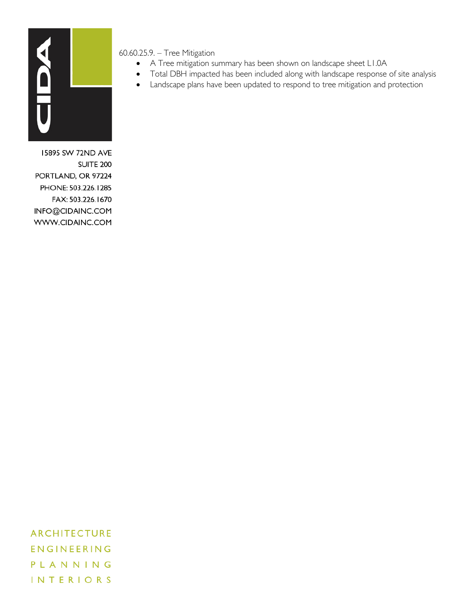

60.60.25.9. – Tree Mitigation

- A Tree mitigation summary has been shown on landscape sheet L1.0A
- Total DBH impacted has been included along with landscape response of site analysis
- Landscape plans have been updated to respond to tree mitigation and protection

15895 SW 72ND AVE **SUITE 200** PORTLAND, OR 97224 PHONE: 503.226.1285 FAX: 503.226.1670 INFO@CIDAINC.COM WWW.CIDAINC.COM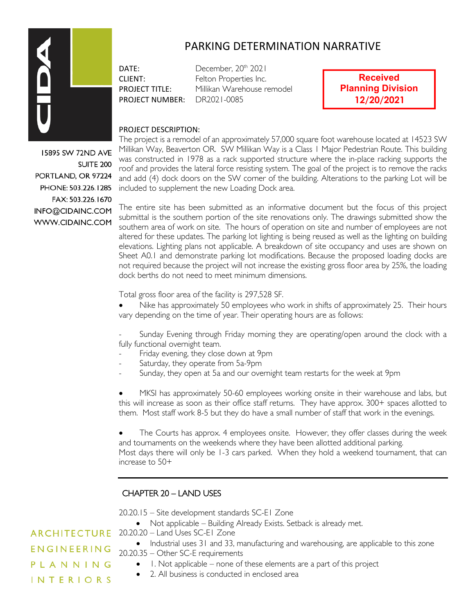

## PARKING DETERMINATION NARRATIVE

PROJECT NUMBER: DR2021-0085

DATE: December, 20<sup>th</sup> 2021 CLIENT: Felton Properties Inc. PROJECT TITLE: Millikan Warehouse remodel

**Received Planning Division 12/20/2021**

#### PROJECT DESCRIPTION:

The project is a remodel of an approximately 57,000 square foot warehouse located at 14523 SW Millikan Way, Beaverton OR. SW Millikan Way is a Class 1 Major Pedestrian Route. This building was constructed in 1978 as a rack supported structure where the in-place racking supports the roof and provides the lateral force resisting system. The goal of the project is to remove the racks and add (4) dock doors on the SW corner of the building. Alterations to the parking Lot will be included to supplement the new Loading Dock area.

The entire site has been submitted as an informative document but the focus of this project submittal is the southern portion of the site renovations only. The drawings submitted show the southern area of work on site. The hours of operation on site and number of employees are not altered for these updates. The parking lot lighting is being reused as well as the lighting on building elevations. Lighting plans not applicable. A breakdown of site occupancy and uses are shown on Sheet A0.1 and demonstrate parking lot modifications. Because the proposed loading docks are not required because the project will not increase the existing gross floor area by 25%, the loading dock berths do not need to meet minimum dimensions.

Total gross floor area of the facility is 297,528 SF.

• Nike has approximately 50 employees who work in shifts of approximately 25. Their hours vary depending on the time of year. Their operating hours are as follows:

Sunday Evening through Friday morning they are operating/open around the clock with a fully functional overnight team.

- Friday evening, they close down at 9pm
- Saturday, they operate from 5a-9pm
- Sunday, they open at 5a and our overnight team restarts for the week at 9pm

• MKSI has approximately 50-60 employees working onsite in their warehouse and labs, but this will increase as soon as their office staff returns. They have approx. 300+ spaces allotted to them. Most staff work 8-5 but they do have a small number of staff that work in the evenings.

The Courts has approx. 4 employees onsite. However, they offer classes during the week and tournaments on the weekends where they have been allotted additional parking. Most days there will only be 1-3 cars parked. When they hold a weekend tournament, that can increase to 50+

## CHAPTER 20 – LAND USES

20.20.15 – Site development standards SC-E1 Zone

• Not applicable – Building Already Exists. Setback is already met.

**ARCHITECTURE** 20.20.20 – Land Uses SC-E1 Zone

- Industrial uses 31 and 33, manufacturing and warehousing, are applicable to this zone 20.20.35 – Other SC-E requirements
	- 1. Not applicable none of these elements are a part of this project
	- 2. All business is conducted in enclosed area

15895 SW 72ND AVE **SUITE 200** PORTLAND, OR 97224 PHONE: 503.226.1285 FAX: 503.226.1670 INFO@CIDAINC.COM WWW.CIDAINC.COM

ENGINEERING

PLANNING **INTERIORS**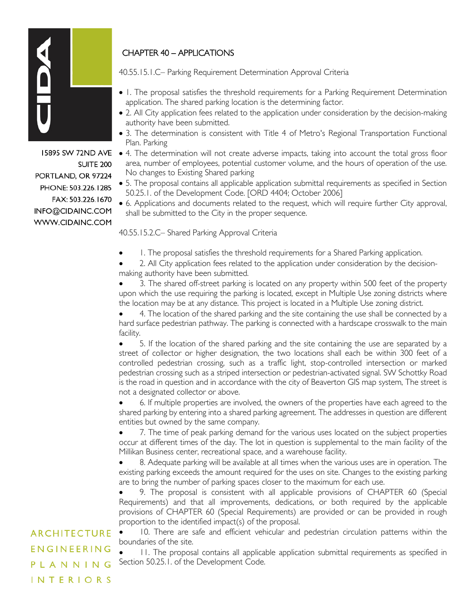

SUITE<sub>200</sub> PORTLAND, OR 97224 PHONE: 503.226.1285 FAX: 503.226.1670 INFO@CIDAINC.COM WWW.CIDAINC.COM

## CHAPTER 40 – APPLICATIONS

40.55.15.1.C– Parking Requirement Determination Approval Criteria

- 1. The proposal satisfies the threshold requirements for a Parking Requirement Determination application. The shared parking location is the determining factor.
- 2. All City application fees related to the application under consideration by the decision-making authority have been submitted.
- 3. The determination is consistent with Title 4 of Metro's Regional Transportation Functional Plan. Parking
- **15895 SW 72ND AVE**  $\bullet$  4. The determination will not create adverse impacts, taking into account the total gross floor area, number of employees, potential customer volume, and the hours of operation of the use. No changes to Existing Shared parking
	- 5. The proposal contains all applicable application submittal requirements as specified in Section 50.25.1. of the Development Code. [ORD 4404; October 2006]
	- 6. Applications and documents related to the request, which will require further City approval, shall be submitted to the City in the proper sequence.

40.55.15.2.C– Shared Parking Approval Criteria

1. The proposal satisfies the threshold requirements for a Shared Parking application.

• 2. All City application fees related to the application under consideration by the decisionmaking authority have been submitted.

• 3. The shared off-street parking is located on any property within 500 feet of the property upon which the use requiring the parking is located, except in Multiple Use zoning districts where the location may be at any distance. This project is located in a Multiple Use zoning district.

• 4. The location of the shared parking and the site containing the use shall be connected by a hard surface pedestrian pathway. The parking is connected with a hardscape crosswalk to the main facility.

• 5. If the location of the shared parking and the site containing the use are separated by a street of collector or higher designation, the two locations shall each be within 300 feet of a controlled pedestrian crossing, such as a traffic light, stop-controlled intersection or marked pedestrian crossing such as a striped intersection or pedestrian-activated signal. SW Schottky Road is the road in question and in accordance with the city of Beaverton GIS map system, The street is not a designated collector or above.

• 6. If multiple properties are involved, the owners of the properties have each agreed to the shared parking by entering into a shared parking agreement. The addresses in question are different entities but owned by the same company.

• 7. The time of peak parking demand for the various uses located on the subject properties occur at different times of the day. The lot in question is supplemental to the main facility of the Millikan Business center, recreational space, and a warehouse facility.

• 8. Adequate parking will be available at all times when the various uses are in operation. The existing parking exceeds the amount required for the uses on site. Changes to the existing parking are to bring the number of parking spaces closer to the maximum for each use.

• 9. The proposal is consistent with all applicable provisions of CHAPTER 60 (Special Requirements) and that all improvements, dedications, or both required by the applicable provisions of CHAPTER 60 (Special Requirements) are provided or can be provided in rough proportion to the identified impact(s) of the proposal.

• 10. There are safe and efficient vehicular and pedestrian circulation patterns within the boundaries of the site.

• 11. The proposal contains all applicable application submittal requirements as specified in Section 50.25.1. of the Development Code.